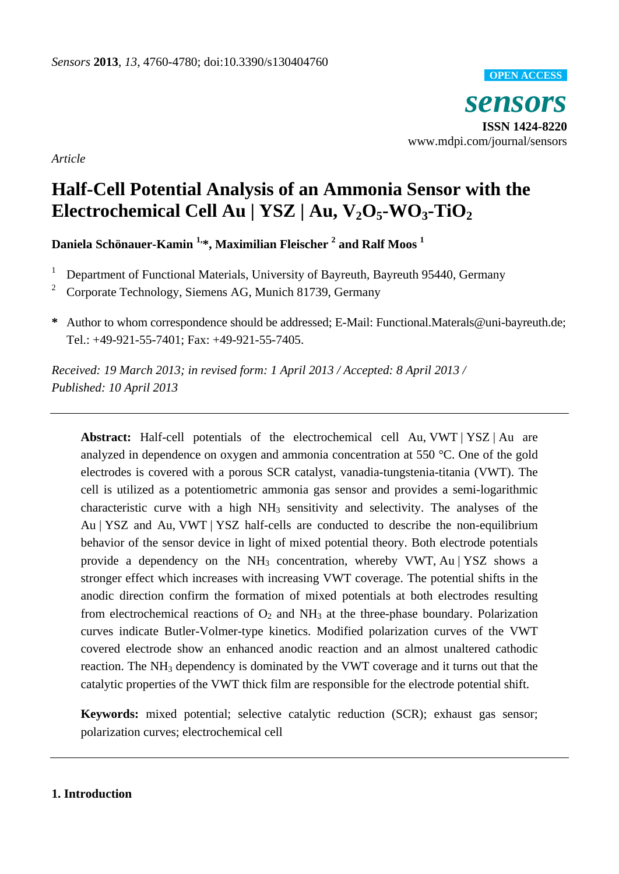

*Article*

# **Half-Cell Potential Analysis of an Ammonia Sensor with the Electrochemical Cell Au | YSZ | Au, V2O5-WO3-TiO<sup>2</sup>**

**Daniela Schönauer-Kamin 1,\*, Maximilian Fleischer <sup>2</sup> and Ralf Moos <sup>1</sup>**

- <sup>1</sup> Department of Functional Materials, University of Bayreuth, Bayreuth 95440, Germany
- <sup>2</sup> Corporate Technology, Siemens AG, Munich 81739, Germany
- **\*** Author to whom correspondence should be addressed; E-Mail: Functional.Materals@uni-bayreuth.de; Tel.: +49-921-55-7401; Fax: +49-921-55-7405.

*Received: 19 March 2013; in revised form: 1 April 2013 / Accepted: 8 April 2013 / Published: 10 April 2013*

**Abstract:** Half-cell potentials of the electrochemical cell Au, VWT | YSZ | Au are analyzed in dependence on oxygen and ammonia concentration at 550 °C. One of the gold electrodes is covered with a porous SCR catalyst, vanadia-tungstenia-titania (VWT). The cell is utilized as a potentiometric ammonia gas sensor and provides a semi-logarithmic characteristic curve with a high  $NH<sub>3</sub>$  sensitivity and selectivity. The analyses of the Au | YSZ and Au, VWT | YSZ half-cells are conducted to describe the non-equilibrium behavior of the sensor device in light of mixed potential theory. Both electrode potentials provide a dependency on the  $NH_3$  concentration, whereby VWT, Au | YSZ shows a stronger effect which increases with increasing VWT coverage. The potential shifts in the anodic direction confirm the formation of mixed potentials at both electrodes resulting from electrochemical reactions of  $O_2$  and NH<sub>3</sub> at the three-phase boundary. Polarization curves indicate Butler-Volmer-type kinetics. Modified polarization curves of the VWT covered electrode show an enhanced anodic reaction and an almost unaltered cathodic reaction. The NH<sub>3</sub> dependency is dominated by the VWT coverage and it turns out that the catalytic properties of the VWT thick film are responsible for the electrode potential shift.

**Keywords:** mixed potential; selective catalytic reduction (SCR); exhaust gas sensor; polarization curves; electrochemical cell

# **1. Introduction**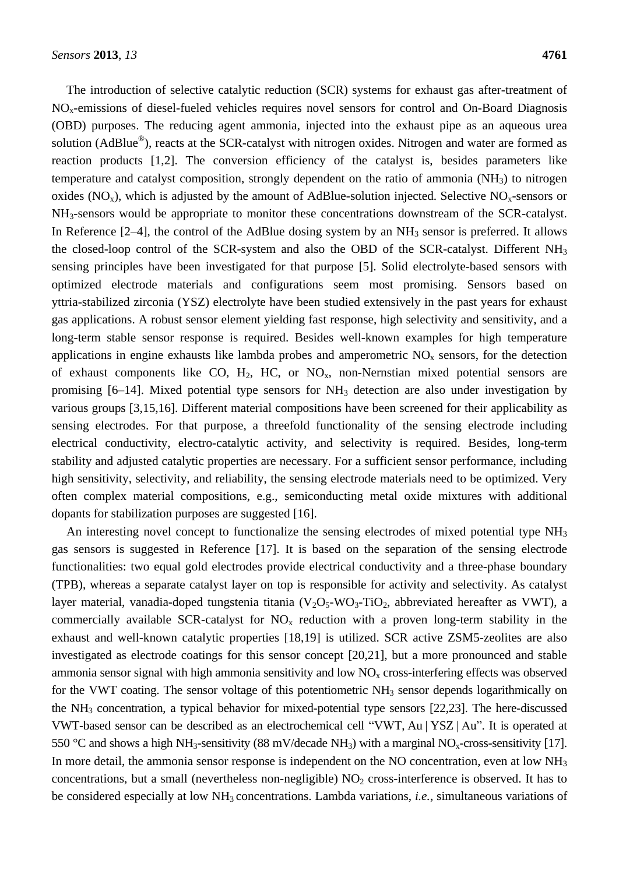The introduction of selective catalytic reduction (SCR) systems for exhaust gas after-treatment of NOx-emissions of diesel-fueled vehicles requires novel sensors for control and On-Board Diagnosis (OBD) purposes. The reducing agent ammonia, injected into the exhaust pipe as an aqueous urea solution (AdBlue®), reacts at the SCR-catalyst with nitrogen oxides. Nitrogen and water are formed as reaction products [1,2]. The conversion efficiency of the catalyst is, besides parameters like temperature and catalyst composition, strongly dependent on the ratio of ammonia  $(NH<sub>3</sub>)$  to nitrogen oxides ( $NO_x$ ), which is adjusted by the amount of AdBlue-solution injected. Selective  $NO_x$ -sensors or NH3-sensors would be appropriate to monitor these concentrations downstream of the SCR-catalyst. In Reference  $[2-4]$ , the control of the AdBlue dosing system by an  $NH<sub>3</sub>$  sensor is preferred. It allows the closed-loop control of the SCR-system and also the OBD of the SCR-catalyst. Different NH<sub>3</sub> sensing principles have been investigated for that purpose [5]. Solid electrolyte-based sensors with optimized electrode materials and configurations seem most promising. Sensors based on yttria-stabilized zirconia (YSZ) electrolyte have been studied extensively in the past years for exhaust gas applications. A robust sensor element yielding fast response, high selectivity and sensitivity, and a long-term stable sensor response is required. Besides well-known examples for high temperature applications in engine exhausts like lambda probes and amperometric  $NO<sub>x</sub>$  sensors, for the detection of exhaust components like CO,  $H_2$ , HC, or NO<sub>x</sub>, non-Nernstian mixed potential sensors are promising  $[6–14]$ . Mixed potential type sensors for  $NH<sub>3</sub>$  detection are also under investigation by various groups [3,15,16]. Different material compositions have been screened for their applicability as sensing electrodes. For that purpose, a threefold functionality of the sensing electrode including electrical conductivity, electro-catalytic activity, and selectivity is required. Besides, long-term stability and adjusted catalytic properties are necessary. For a sufficient sensor performance, including high sensitivity, selectivity, and reliability, the sensing electrode materials need to be optimized. Very often complex material compositions, e.g., semiconducting metal oxide mixtures with additional dopants for stabilization purposes are suggested [16].

An interesting novel concept to functionalize the sensing electrodes of mixed potential type NH<sub>3</sub> gas sensors is suggested in Reference [17]. It is based on the separation of the sensing electrode functionalities: two equal gold electrodes provide electrical conductivity and a three-phase boundary (TPB), whereas a separate catalyst layer on top is responsible for activity and selectivity. As catalyst layer material, vanadia-doped tungstenia titania  $(V_2O_5-WO_3-TiO_2$ , abbreviated hereafter as VWT), a commercially available SCR-catalyst for  $NO<sub>x</sub>$  reduction with a proven long-term stability in the exhaust and well-known catalytic properties [18,19] is utilized. SCR active ZSM5-zeolites are also investigated as electrode coatings for this sensor concept [20,21], but a more pronounced and stable ammonia sensor signal with high ammonia sensitivity and low  $NO<sub>x</sub>$  cross-interfering effects was observed for the VWT coating. The sensor voltage of this potentiometric NH<sub>3</sub> sensor depends logarithmically on the NH<sup>3</sup> concentration, a typical behavior for mixed-potential type sensors [22,23]. The here-discussed VWT-based sensor can be described as an electrochemical cell "VWT, Au | YSZ | Au". It is operated at 550 °C and shows a high NH<sub>3</sub>-sensitivity (88 mV/decade NH<sub>3</sub>) with a marginal NO<sub>x</sub>-cross-sensitivity [17]. In more detail, the ammonia sensor response is independent on the NO concentration, even at low NH<sub>3</sub> concentrations, but a small (nevertheless non-negligible)  $NO<sub>2</sub>$  cross-interference is observed. It has to be considered especially at low NH<sup>3</sup> concentrations. Lambda variations, *i.e.*, simultaneous variations of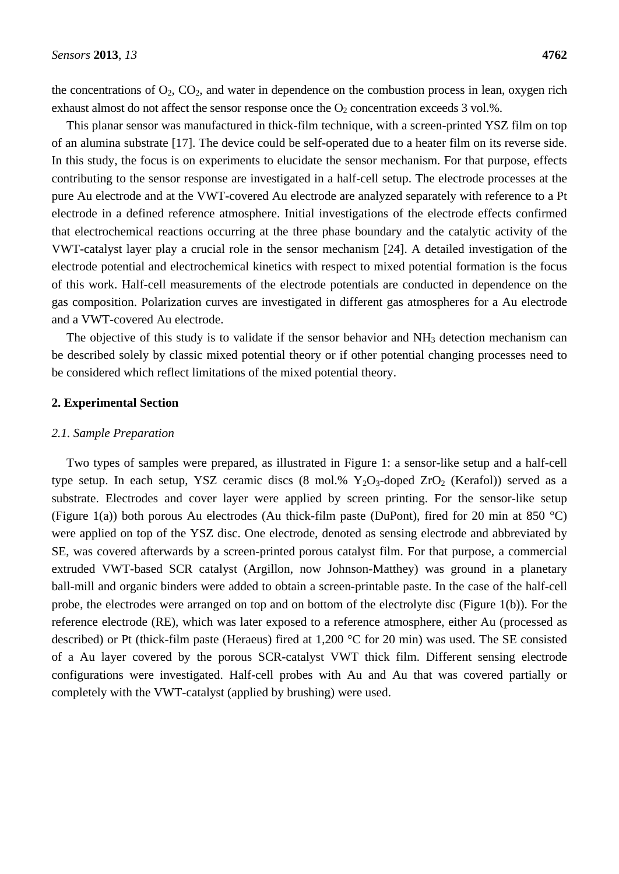the concentrations of  $O_2$ ,  $CO_2$ , and water in dependence on the combustion process in lean, oxygen rich exhaust almost do not affect the sensor response once the  $O_2$  concentration exceeds 3 vol.%.

This planar sensor was manufactured in thick-film technique, with a screen-printed YSZ film on top of an alumina substrate [17]. The device could be self-operated due to a heater film on its reverse side. In this study, the focus is on experiments to elucidate the sensor mechanism. For that purpose, effects contributing to the sensor response are investigated in a half-cell setup. The electrode processes at the pure Au electrode and at the VWT-covered Au electrode are analyzed separately with reference to a Pt electrode in a defined reference atmosphere. Initial investigations of the electrode effects confirmed that electrochemical reactions occurring at the three phase boundary and the catalytic activity of the VWT-catalyst layer play a crucial role in the sensor mechanism [24]. A detailed investigation of the electrode potential and electrochemical kinetics with respect to mixed potential formation is the focus of this work. Half-cell measurements of the electrode potentials are conducted in dependence on the gas composition. Polarization curves are investigated in different gas atmospheres for a Au electrode and a VWT-covered Au electrode.

The objective of this study is to validate if the sensor behavior and  $NH<sub>3</sub>$  detection mechanism can be described solely by classic mixed potential theory or if other potential changing processes need to be considered which reflect limitations of the mixed potential theory.

### **2. Experimental Section**

#### *2.1. Sample Preparation*

Two types of samples were prepared, as illustrated in Figure 1: a sensor-like setup and a half-cell type setup. In each setup, YSZ ceramic discs  $(8 \text{ mol.}\% \text{ Y}_2\text{O}_3\text{-doped ZrO}_2 \text{ (Kerafol)})$  served as a substrate. Electrodes and cover layer were applied by screen printing. For the sensor-like setup (Figure 1(a)) both porous Au electrodes (Au thick-film paste (DuPont), fired for 20 min at 850 °C) were applied on top of the YSZ disc. One electrode, denoted as sensing electrode and abbreviated by SE, was covered afterwards by a screen-printed porous catalyst film. For that purpose, a commercial extruded VWT-based SCR catalyst (Argillon, now Johnson-Matthey) was ground in a planetary ball-mill and organic binders were added to obtain a screen-printable paste. In the case of the half-cell probe, the electrodes were arranged on top and on bottom of the electrolyte disc (Figure 1(b)). For the reference electrode (RE), which was later exposed to a reference atmosphere, either Au (processed as described) or Pt (thick-film paste (Heraeus) fired at 1,200 °C for 20 min) was used. The SE consisted of a Au layer covered by the porous SCR-catalyst VWT thick film. Different sensing electrode configurations were investigated. Half-cell probes with Au and Au that was covered partially or completely with the VWT-catalyst (applied by brushing) were used.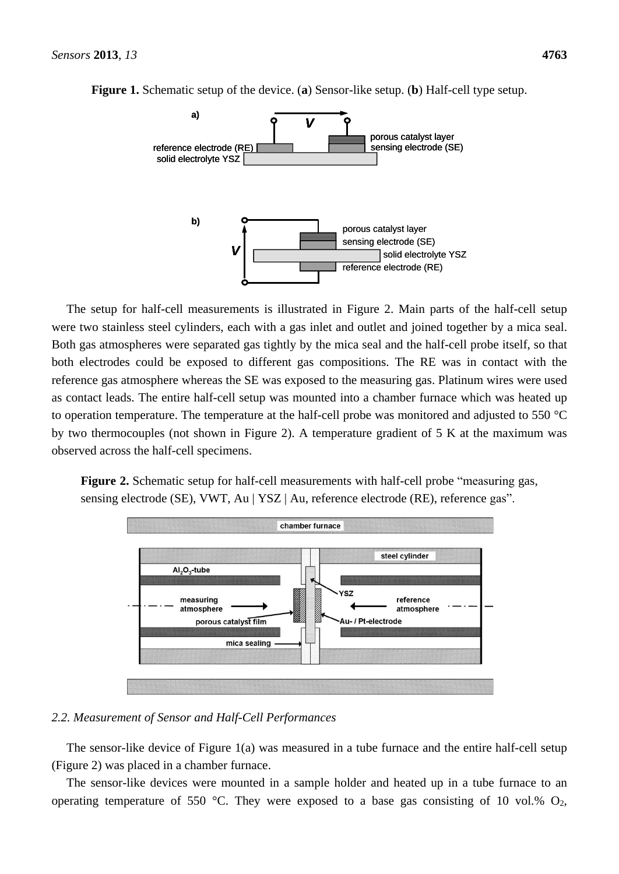

**Figure 1.** Schematic setup of the device. (**a**) Sensor-like setup. (**b**) Half-cell type setup.

The setup for half-cell measurements is illustrated in Figure 2. Main parts of the half-cell setup were two stainless steel cylinders, each with a gas inlet and outlet and joined together by a mica seal. Both gas atmospheres were separated gas tightly by the mica seal and the half-cell probe itself, so that both electrodes could be exposed to different gas compositions. The RE was in contact with the reference gas atmosphere whereas the SE was exposed to the measuring gas. Platinum wires were used as contact leads. The entire half-cell setup was mounted into a chamber furnace which was heated up to operation temperature. The temperature at the half-cell probe was monitored and adjusted to 550  $\degree$ C by two thermocouples (not shown in Figure 2). A temperature gradient of 5 K at the maximum was observed across the half-cell specimens.

**Figure 2.** Schematic setup for half-cell measurements with half-cell probe "measuring gas, sensing electrode (SE), VWT, Au | YSZ | Au, reference electrode (RE), reference gas".



#### *2.2. Measurement of Sensor and Half-Cell Performances*

The sensor-like device of Figure 1(a) was measured in a tube furnace and the entire half-cell setup (Figure 2) was placed in a chamber furnace.

The sensor-like devices were mounted in a sample holder and heated up in a tube furnace to an operating temperature of 550 °C. They were exposed to a base gas consisting of 10 vol.%  $O_2$ ,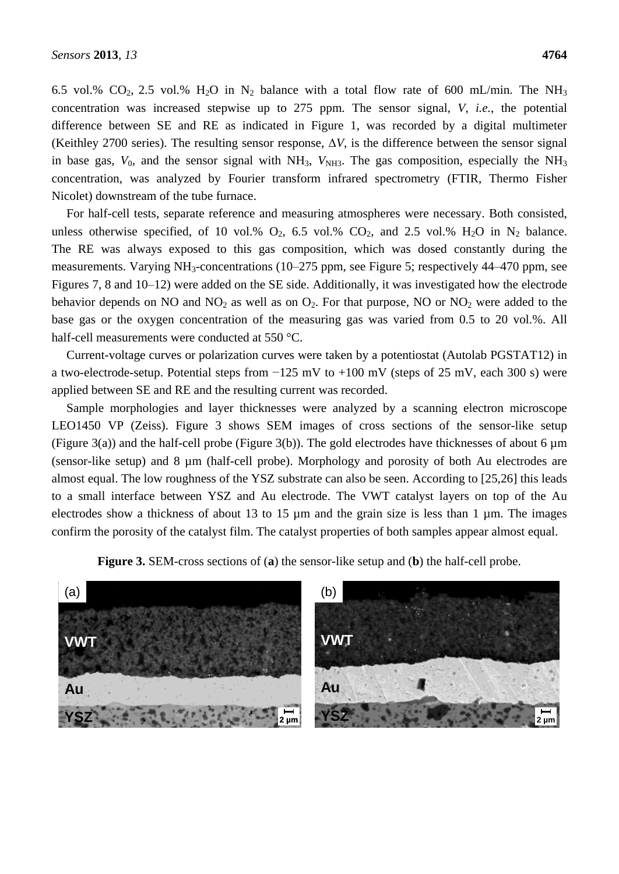6.5 vol.% CO<sub>2</sub>, 2.5 vol.% H<sub>2</sub>O in N<sub>2</sub> balance with a total flow rate of 600 mL/min. The NH<sub>3</sub> concentration was increased stepwise up to 275 ppm. The sensor signal, *V*, *i.e.*, the potential difference between SE and RE as indicated in Figure 1, was recorded by a digital multimeter (Keithley 2700 series). The resulting sensor response,  $\Delta V$ , is the difference between the sensor signal in base gas,  $V_0$ , and the sensor signal with NH<sub>3</sub>,  $V_{NH3}$ . The gas composition, especially the NH<sub>3</sub> concentration, was analyzed by Fourier transform infrared spectrometry (FTIR, Thermo Fisher Nicolet) downstream of the tube furnace.

For half-cell tests, separate reference and measuring atmospheres were necessary. Both consisted, unless otherwise specified, of 10 vol.%  $O_2$ , 6.5 vol.%  $CO_2$ , and 2.5 vol.%  $H_2O$  in  $N_2$  balance. The RE was always exposed to this gas composition, which was dosed constantly during the measurements. Varying NH<sub>3</sub>-concentrations (10–275 ppm, see Figure 5; respectively 44–470 ppm, see Figures 7, 8 and 10–12) were added on the SE side. Additionally, it was investigated how the electrode behavior depends on NO and  $NO<sub>2</sub>$  as well as on  $O<sub>2</sub>$ . For that purpose, NO or  $NO<sub>2</sub>$  were added to the base gas or the oxygen concentration of the measuring gas was varied from 0.5 to 20 vol.%. All half-cell measurements were conducted at 550 °C.

Current-voltage curves or polarization curves were taken by a potentiostat (Autolab PGSTAT12) in a two-electrode-setup. Potential steps from −125 mV to +100 mV (steps of 25 mV, each 300 s) were applied between SE and RE and the resulting current was recorded.

Sample morphologies and layer thicknesses were analyzed by a scanning electron microscope LEO1450 VP (Zeiss). Figure 3 shows SEM images of cross sections of the sensor-like setup (Figure 3(a)) and the half-cell probe (Figure 3(b)). The gold electrodes have thicknesses of about 6  $\mu$ m (sensor-like setup) and 8 µm (half-cell probe). Morphology and porosity of both Au electrodes are almost equal. The low roughness of the YSZ substrate can also be seen. According to [25,26] this leads to a small interface between YSZ and Au electrode. The VWT catalyst layers on top of the Au electrodes show a thickness of about 13 to 15 µm and the grain size is less than 1 µm. The images confirm the porosity of the catalyst film. The catalyst properties of both samples appear almost equal.

**Figure 3.** SEM-cross sections of (**a**) the sensor-like setup and (**b**) the half-cell probe.

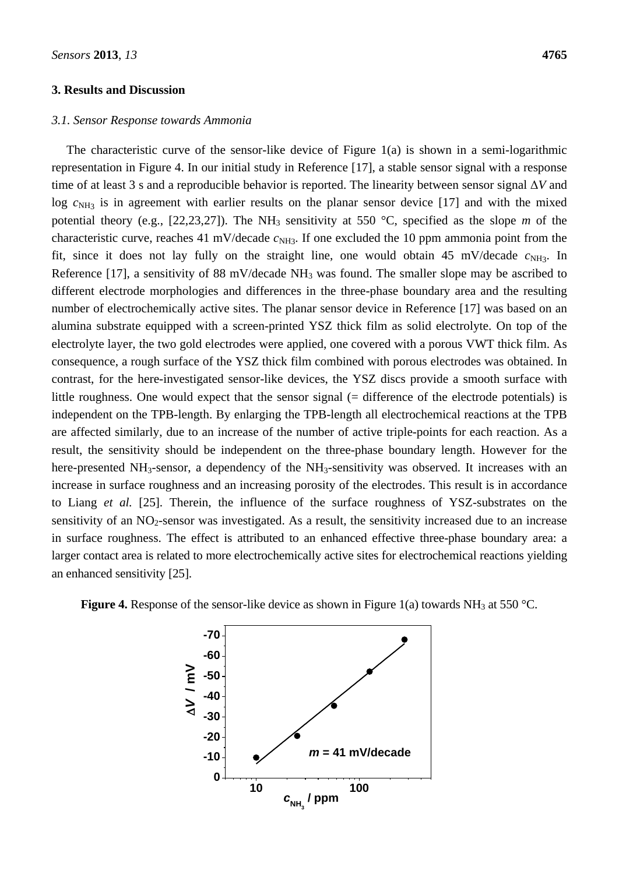#### **3. Results and Discussion**

#### *3.1. Sensor Response towards Ammonia*

The characteristic curve of the sensor-like device of Figure 1(a) is shown in a semi-logarithmic representation in Figure 4. In our initial study in Reference [17], a stable sensor signal with a response time of at least 3 s and a reproducible behavior is reported. The linearity between sensor signal Δ*V* and log  $c_{NH_3}$  is in agreement with earlier results on the planar sensor device [17] and with the mixed potential theory (e.g., [22,23,27]). The NH<sub>3</sub> sensitivity at 550 °C, specified as the slope *m* of the characteristic curve, reaches 41 mV/decade  $c_{NH3}$ . If one excluded the 10 ppm ammonia point from the fit, since it does not lay fully on the straight line, one would obtain 45 mV/decade  $c_{NH3}$ . In Reference [17], a sensitivity of 88 mV/decade  $NH_3$  was found. The smaller slope may be ascribed to different electrode morphologies and differences in the three-phase boundary area and the resulting number of electrochemically active sites. The planar sensor device in Reference [17] was based on an alumina substrate equipped with a screen-printed YSZ thick film as solid electrolyte. On top of the electrolyte layer, the two gold electrodes were applied, one covered with a porous VWT thick film. As consequence, a rough surface of the YSZ thick film combined with porous electrodes was obtained. In contrast, for the here-investigated sensor-like devices, the YSZ discs provide a smooth surface with little roughness. One would expect that the sensor signal (= difference of the electrode potentials) is independent on the TPB-length. By enlarging the TPB-length all electrochemical reactions at the TPB are affected similarly, due to an increase of the number of active triple-points for each reaction. As a result, the sensitivity should be independent on the three-phase boundary length. However for the here-presented NH<sub>3</sub>-sensor, a dependency of the NH<sub>3</sub>-sensitivity was observed. It increases with an increase in surface roughness and an increasing porosity of the electrodes. This result is in accordance to Liang *et al.* [25]. Therein, the influence of the surface roughness of YSZ-substrates on the sensitivity of an  $NO<sub>2</sub>$ -sensor was investigated. As a result, the sensitivity increased due to an increase in surface roughness. The effect is attributed to an enhanced effective three-phase boundary area: a larger contact area is related to more electrochemically active sites for electrochemical reactions yielding an enhanced sensitivity [25].



**Figure 4.** Response of the sensor-like device as shown in Figure 1(a) towards  $NH<sub>3</sub>$  at 550 °C.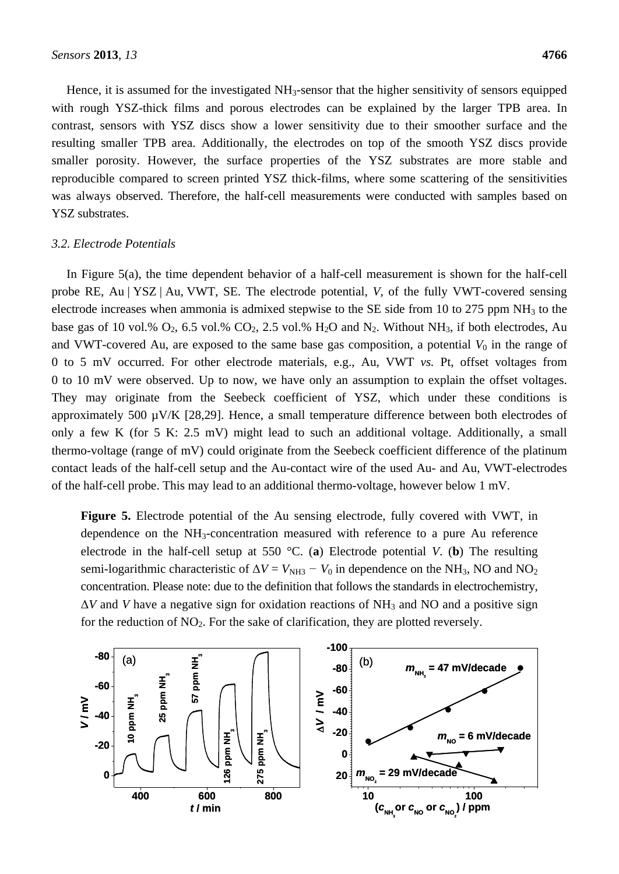Hence, it is assumed for the investigated NH<sub>3</sub>-sensor that the higher sensitivity of sensors equipped with rough YSZ-thick films and porous electrodes can be explained by the larger TPB area. In contrast, sensors with YSZ discs show a lower sensitivity due to their smoother surface and the resulting smaller TPB area. Additionally, the electrodes on top of the smooth YSZ discs provide smaller porosity. However, the surface properties of the YSZ substrates are more stable and reproducible compared to screen printed YSZ thick-films, where some scattering of the sensitivities was always observed. Therefore, the half-cell measurements were conducted with samples based on YSZ substrates.

#### *3.2. Electrode Potentials*

In Figure 5(a), the time dependent behavior of a half-cell measurement is shown for the half-cell probe RE, Au | YSZ | Au, VWT, SE. The electrode potential, *V*, of the fully VWT-covered sensing electrode increases when ammonia is admixed stepwise to the SE side from 10 to 275 ppm  $NH<sub>3</sub>$  to the base gas of 10 vol.%  $O_2$ , 6.5 vol.%  $CO_2$ , 2.5 vol.%  $H_2O$  and  $N_2$ . Without NH<sub>3</sub>, if both electrodes, Au and VWT-covered Au, are exposed to the same base gas composition, a potential  $V_0$  in the range of 0 to 5 mV occurred. For other electrode materials, e.g., Au, VWT *vs.* Pt, offset voltages from 0 to 10 mV were observed. Up to now, we have only an assumption to explain the offset voltages. They may originate from the Seebeck coefficient of YSZ, which under these conditions is approximately 500 µV/K [28,29]. Hence, a small temperature difference between both electrodes of only a few K (for 5 K: 2.5 mV) might lead to such an additional voltage. Additionally, a small thermo-voltage (range of mV) could originate from the Seebeck coefficient difference of the platinum contact leads of the half-cell setup and the Au-contact wire of the used Au- and Au, VWT-electrodes of the half-cell probe. This may lead to an additional thermo-voltage, however below 1 mV.

**Figure 5.** Electrode potential of the Au sensing electrode, fully covered with VWT, in dependence on the NH3-concentration measured with reference to a pure Au reference electrode in the half-cell setup at 550 °C. (**a**) Electrode potential *V*. (**b**) The resulting semi-logarithmic characteristic of  $\Delta V = V_{\text{NH3}} - V_0$  in dependence on the NH<sub>3</sub>, NO and NO<sub>2</sub> concentration. Please note: due to the definition that follows the standards in electrochemistry,  $\Delta V$  and *V* have a negative sign for oxidation reactions of NH<sub>3</sub> and NO and a positive sign for the reduction of  $NO<sub>2</sub>$ . For the sake of clarification, they are plotted reversely.

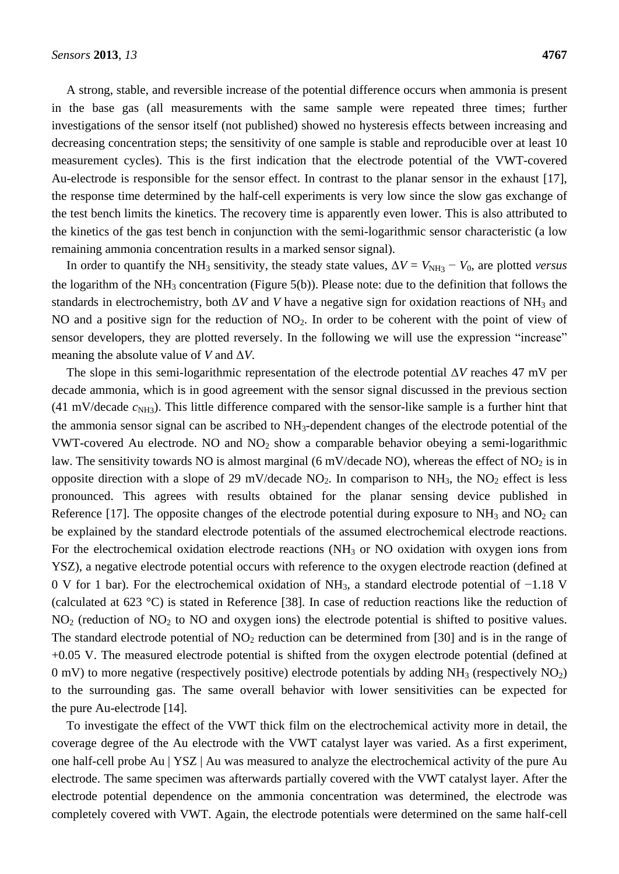A strong, stable, and reversible increase of the potential difference occurs when ammonia is present in the base gas (all measurements with the same sample were repeated three times; further investigations of the sensor itself (not published) showed no hysteresis effects between increasing and decreasing concentration steps; the sensitivity of one sample is stable and reproducible over at least 10 measurement cycles). This is the first indication that the electrode potential of the VWT-covered Au-electrode is responsible for the sensor effect. In contrast to the planar sensor in the exhaust [17], the response time determined by the half-cell experiments is very low since the slow gas exchange of the test bench limits the kinetics. The recovery time is apparently even lower. This is also attributed to the kinetics of the gas test bench in conjunction with the semi-logarithmic sensor characteristic (a low remaining ammonia concentration results in a marked sensor signal).

In order to quantify the NH<sub>3</sub> sensitivity, the steady state values,  $\Delta V = V_{\text{NH3}} - V_0$ , are plotted *versus* the logarithm of the  $NH_3$  concentration (Figure 5(b)). Please note: due to the definition that follows the standards in electrochemistry, both  $\Delta V$  and *V* have a negative sign for oxidation reactions of NH<sub>3</sub> and NO and a positive sign for the reduction of  $NO<sub>2</sub>$ . In order to be coherent with the point of view of sensor developers, they are plotted reversely. In the following we will use the expression "increase" meaning the absolute value of *V* and  $\Delta V$ .

The slope in this semi-logarithmic representation of the electrode potential Δ*V* reaches 47 mV per decade ammonia, which is in good agreement with the sensor signal discussed in the previous section  $(41 \text{ mV/decade } c_{NH3})$ . This little difference compared with the sensor-like sample is a further hint that the ammonia sensor signal can be ascribed to NH3-dependent changes of the electrode potential of the VWT-covered Au electrode. NO and  $NO<sub>2</sub>$  show a comparable behavior obeying a semi-logarithmic law. The sensitivity towards NO is almost marginal (6 mV/decade NO), whereas the effect of  $NO<sub>2</sub>$  is in opposite direction with a slope of 29 mV/decade  $NO<sub>2</sub>$ . In comparison to  $NH<sub>3</sub>$ , the  $NO<sub>2</sub>$  effect is less pronounced. This agrees with results obtained for the planar sensing device published in Reference [17]. The opposite changes of the electrode potential during exposure to  $NH_3$  and  $NO_2$  can be explained by the standard electrode potentials of the assumed electrochemical electrode reactions. For the electrochemical oxidation electrode reactions (NH<sub>3</sub> or NO oxidation with oxygen ions from YSZ), a negative electrode potential occurs with reference to the oxygen electrode reaction (defined at 0 V for 1 bar). For the electrochemical oxidation of NH3, a standard electrode potential of −1.18 V (calculated at 623 °C) is stated in Reference [38]. In case of reduction reactions like the reduction of  $NO<sub>2</sub>$  (reduction of  $NO<sub>2</sub>$  to  $NO$  and oxygen ions) the electrode potential is shifted to positive values. The standard electrode potential of  $NO<sub>2</sub>$  reduction can be determined from [30] and is in the range of +0.05 V. The measured electrode potential is shifted from the oxygen electrode potential (defined at 0 mV) to more negative (respectively positive) electrode potentials by adding  $NH<sub>3</sub>$  (respectively  $NO<sub>2</sub>$ ) to the surrounding gas. The same overall behavior with lower sensitivities can be expected for the pure Au-electrode [14].

To investigate the effect of the VWT thick film on the electrochemical activity more in detail, the coverage degree of the Au electrode with the VWT catalyst layer was varied. As a first experiment, one half-cell probe Au | YSZ | Au was measured to analyze the electrochemical activity of the pure Au electrode. The same specimen was afterwards partially covered with the VWT catalyst layer. After the electrode potential dependence on the ammonia concentration was determined, the electrode was completely covered with VWT. Again, the electrode potentials were determined on the same half-cell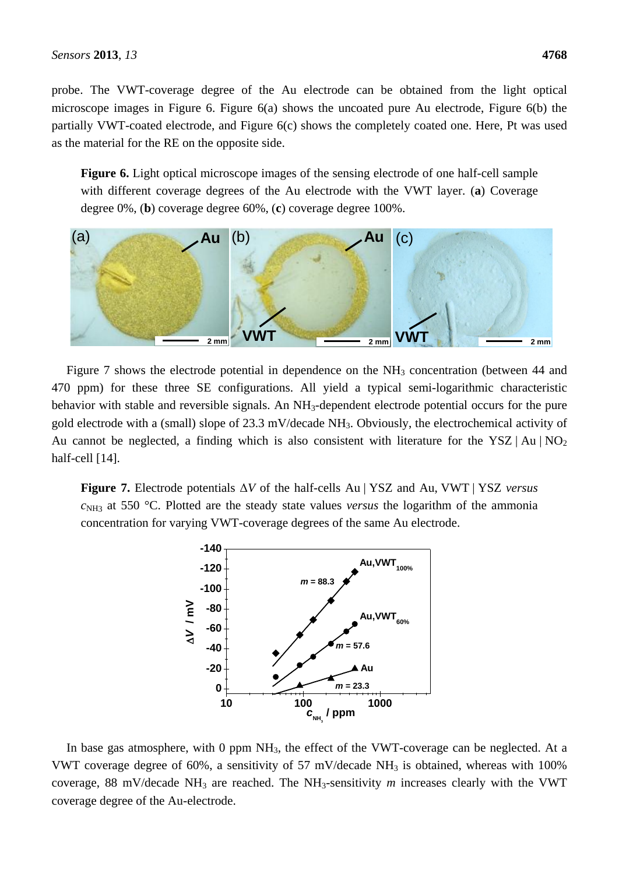probe. The VWT-coverage degree of the Au electrode can be obtained from the light optical microscope images in Figure 6. Figure 6(a) shows the uncoated pure Au electrode, Figure 6(b) the partially VWT-coated electrode, and Figure 6(c) shows the completely coated one. Here, Pt was used as the material for the RE on the opposite side.

**Figure 6.** Light optical microscope images of the sensing electrode of one half-cell sample with different coverage degrees of the Au electrode with the VWT layer. (**a**) Coverage degree 0%, (**b**) coverage degree 60%, (**c**) coverage degree 100%.



Figure 7 shows the electrode potential in dependence on the  $NH<sub>3</sub>$  concentration (between 44 and 470 ppm) for these three SE configurations. All yield a typical semi-logarithmic characteristic behavior with stable and reversible signals. An NH<sub>3</sub>-dependent electrode potential occurs for the pure gold electrode with a (small) slope of 23.3 mV/decade NH3. Obviously, the electrochemical activity of Au cannot be neglected, a finding which is also consistent with literature for the YSZ | Au |  $NO<sub>2</sub>$ half-cell [14].

**Figure 7.** Electrode potentials Δ*V* of the half-cells Au | YSZ and Au, VWT | YSZ *versus*  $c<sub>NH3</sub>$  at 550 °C. Plotted are the steady state values *versus* the logarithm of the ammonia concentration for varying VWT-coverage degrees of the same Au electrode.



In base gas atmosphere, with 0 ppm NH<sub>3</sub>, the effect of the VWT-coverage can be neglected. At a VWT coverage degree of 60%, a sensitivity of 57 mV/decade  $NH<sub>3</sub>$  is obtained, whereas with 100% coverage, 88 mV/decade NH<sup>3</sup> are reached. The NH3-sensitivity *m* increases clearly with the VWT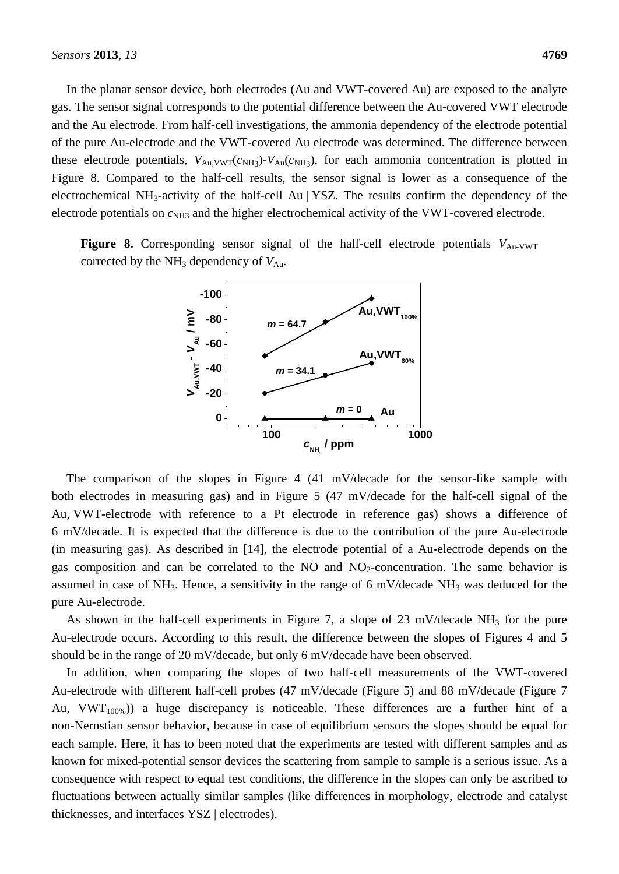In the planar sensor device, both electrodes (Au and VWT-covered Au) are exposed to the analyte gas. The sensor signal corresponds to the potential difference between the Au-covered VWT electrode and the Au electrode. From half-cell investigations, the ammonia dependency of the electrode potential of the pure Au-electrode and the VWT-covered Au electrode was determined. The difference between these electrode potentials,  $V_{Au,VWT}(c_{NH3})$ - $V_{Au}(c_{NH3})$ , for each ammonia concentration is plotted in Figure 8. Compared to the half-cell results, the sensor signal is lower as a consequence of the electrochemical NH3-activity of the half-cell Au | YSZ. The results confirm the dependency of the electrode potentials on  $c_{NH3}$  and the higher electrochemical activity of the VWT-covered electrode.

**Figure 8.** Corresponding sensor signal of the half-cell electrode potentials  $V_{\text{Au-VWT}}$ corrected by the  $NH<sub>3</sub>$  dependency of  $V<sub>Au</sub>$ .



The comparison of the slopes in Figure 4 (41 mV/decade for the sensor-like sample with both electrodes in measuring gas) and in Figure 5 (47 mV/decade for the half-cell signal of the Au, VWT-electrode with reference to a Pt electrode in reference gas) shows a difference of 6 mV/decade. It is expected that the difference is due to the contribution of the pure Au-electrode (in measuring gas). As described in [14], the electrode potential of a Au-electrode depends on the gas composition and can be correlated to the NO and  $NO<sub>2</sub>$ -concentration. The same behavior is assumed in case of NH<sub>3</sub>. Hence, a sensitivity in the range of 6 mV/decade NH<sub>3</sub> was deduced for the pure Au-electrode.

As shown in the half-cell experiments in Figure 7, a slope of 23 mV/decade  $NH_3$  for the pure Au-electrode occurs. According to this result, the difference between the slopes of Figures 4 and 5 should be in the range of 20 mV/decade, but only 6 mV/decade have been observed.

In addition, when comparing the slopes of two half-cell measurements of the VWT-covered Au-electrode with different half-cell probes (47 mV/decade (Figure 5) and 88 mV/decade (Figure 7 Au,  $VWT<sub>100%</sub>)$  a huge discrepancy is noticeable. These differences are a further hint of a non-Nernstian sensor behavior, because in case of equilibrium sensors the slopes should be equal for each sample. Here, it has to been noted that the experiments are tested with different samples and as known for mixed-potential sensor devices the scattering from sample to sample is a serious issue. As a consequence with respect to equal test conditions, the difference in the slopes can only be ascribed to fluctuations between actually similar samples (like differences in morphology, electrode and catalyst thicknesses, and interfaces YSZ | electrodes).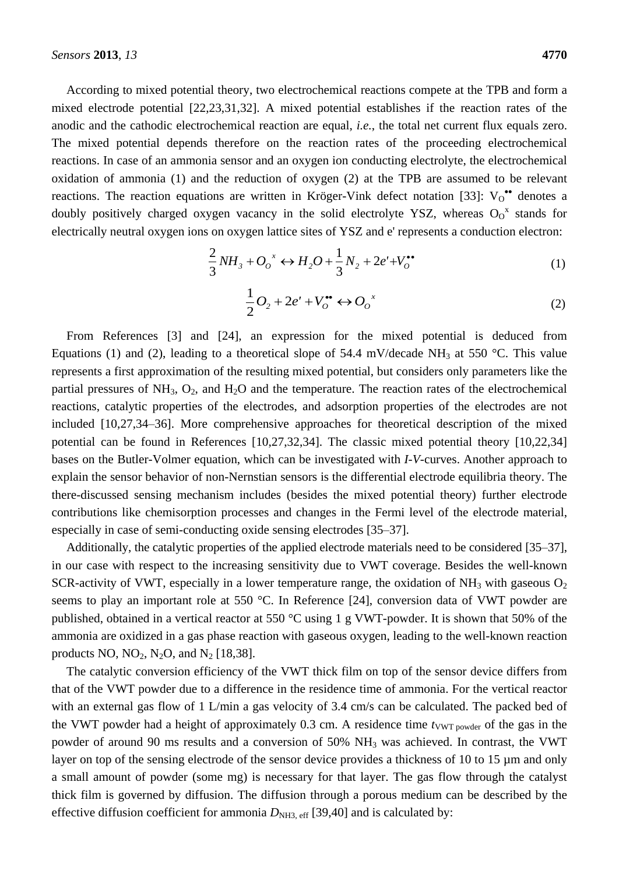According to mixed potential theory, two electrochemical reactions compete at the TPB and form a mixed electrode potential [22,23,31,32]. A mixed potential establishes if the reaction rates of the anodic and the cathodic electrochemical reaction are equal, *i.e.*, the total net current flux equals zero. The mixed potential depends therefore on the reaction rates of the proceeding electrochemical reactions. In case of an ammonia sensor and an oxygen ion conducting electrolyte, the electrochemical oxidation of ammonia (1) and the reduction of oxygen (2) at the TPB are assumed to be relevant reactions. The reaction equations are written in Kröger-Vink defect notation [33]:  $V_0$ <sup>\*\*</sup> denotes a doubly positively charged oxygen vacancy in the solid electrolyte YSZ, whereas  $O_0^x$  stands for electrically neutral oxygen ions on oxygen lattice sites of YSZ and e' represents a conduction electron:

$$
\frac{2}{3}NH_3 + O_0^x \leftrightarrow H_2O + \frac{1}{3}N_2 + 2e' + V_0^{\bullet\bullet}
$$
 (1)

$$
\frac{1}{2}O_2 + 2e' + V_o^{**} \leftrightarrow O_o^{x}
$$
 (2)

From References [3] and [24], an expression for the mixed potential is deduced from Equations (1) and (2), leading to a theoretical slope of 54.4 mV/decade NH<sub>3</sub> at 550 °C. This value represents a first approximation of the resulting mixed potential, but considers only parameters like the partial pressures of  $NH_3$ ,  $O_2$ , and  $H_2O$  and the temperature. The reaction rates of the electrochemical reactions, catalytic properties of the electrodes, and adsorption properties of the electrodes are not included [10,27,34–36]. More comprehensive approaches for theoretical description of the mixed potential can be found in References [10,27,32,34]. The classic mixed potential theory [10,22,34] bases on the Butler-Volmer equation, which can be investigated with *I*-*V*-curves. Another approach to explain the sensor behavior of non-Nernstian sensors is the differential electrode equilibria theory. The there-discussed sensing mechanism includes (besides the mixed potential theory) further electrode contributions like chemisorption processes and changes in the Fermi level of the electrode material, especially in case of semi-conducting oxide sensing electrodes [35–37].

Additionally, the catalytic properties of the applied electrode materials need to be considered [35–37], in our case with respect to the increasing sensitivity due to VWT coverage. Besides the well-known SCR-activity of VWT, especially in a lower temperature range, the oxidation of NH<sub>3</sub> with gaseous  $O_2$ seems to play an important role at 550 °C. In Reference [24], conversion data of VWT powder are published, obtained in a vertical reactor at 550  $\degree$ C using 1 g VWT-powder. It is shown that 50% of the ammonia are oxidized in a gas phase reaction with gaseous oxygen, leading to the well-known reaction products NO,  $NO<sub>2</sub>$ ,  $N<sub>2</sub>O$ , and  $N<sub>2</sub>$  [18,38].

The catalytic conversion efficiency of the VWT thick film on top of the sensor device differs from that of the VWT powder due to a difference in the residence time of ammonia. For the vertical reactor with an external gas flow of 1 L/min a gas velocity of 3.4 cm/s can be calculated. The packed bed of the VWT powder had a height of approximately 0.3 cm. A residence time  $t_{VWT\,power}$  of the gas in the powder of around 90 ms results and a conversion of 50% NH<sup>3</sup> was achieved. In contrast, the VWT layer on top of the sensing electrode of the sensor device provides a thickness of 10 to 15 µm and only a small amount of powder (some mg) is necessary for that layer. The gas flow through the catalyst thick film is governed by diffusion. The diffusion through a porous medium can be described by the effective diffusion coefficient for ammonia  $D<sub>NH3, eff</sub>$  [39,40] and is calculated by: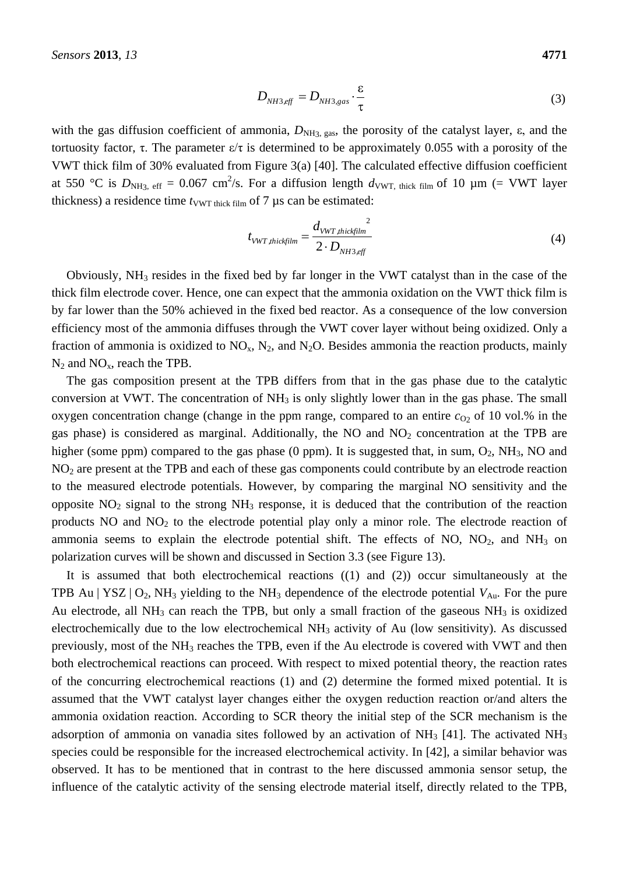$$
D_{NH3,eff} = D_{NH3,gas} \cdot \frac{\varepsilon}{\tau}
$$
 (3)

with the gas diffusion coefficient of ammonia,  $D_{NH3, gas}$ , the porosity of the catalyst layer,  $\varepsilon$ , and the tortuosity factor, τ. The parameter ε/τ is determined to be approximately 0.055 with a porosity of the VWT thick film of 30% evaluated from Figure 3(a) [40]. The calculated effective diffusion coefficient at 550 °C is  $D_{NH3, \text{ eff}} = 0.067 \text{ cm}^2/\text{s}$ . For a diffusion length  $d_{VWT, \text{ thick film}}$  of 10  $\mu$ m (= VWT layer thickness) a residence time  $t_{VWT \text{ thick film}}$  of 7 µs can be estimated:

$$
t_{VWT,thickfilm} = \frac{d_{VWT,thickfilm}^{2}}{2 \cdot D_{NH3,eff}}
$$
 (4)

Obviously, NH<sup>3</sup> resides in the fixed bed by far longer in the VWT catalyst than in the case of the thick film electrode cover. Hence, one can expect that the ammonia oxidation on the VWT thick film is by far lower than the 50% achieved in the fixed bed reactor. As a consequence of the low conversion efficiency most of the ammonia diffuses through the VWT cover layer without being oxidized. Only a fraction of ammonia is oxidized to  $NO_x$ ,  $N_2$ , and  $N_2O$ . Besides ammonia the reaction products, mainly  $N_2$  and  $NO_x$ , reach the TPB.

The gas composition present at the TPB differs from that in the gas phase due to the catalytic conversion at VWT. The concentration of  $NH<sub>3</sub>$  is only slightly lower than in the gas phase. The small oxygen concentration change (change in the ppm range, compared to an entire  $c_{O2}$  of 10 vol.% in the gas phase) is considered as marginal. Additionally, the NO and  $NO<sub>2</sub>$  concentration at the TPB are higher (some ppm) compared to the gas phase (0 ppm). It is suggested that, in sum,  $O_2$ , NH<sub>3</sub>, NO and NO<sup>2</sup> are present at the TPB and each of these gas components could contribute by an electrode reaction to the measured electrode potentials. However, by comparing the marginal NO sensitivity and the opposite  $NO<sub>2</sub>$  signal to the strong  $NH<sub>3</sub>$  response, it is deduced that the contribution of the reaction products NO and NO<sub>2</sub> to the electrode potential play only a minor role. The electrode reaction of ammonia seems to explain the electrode potential shift. The effects of NO,  $NO<sub>2</sub>$ , and  $NH<sub>3</sub>$  on polarization curves will be shown and discussed in Section 3.3 (see Figure 13).

It is assumed that both electrochemical reactions ((1) and (2)) occur simultaneously at the TPB Au | YSZ |  $O_2$ , NH<sub>3</sub> yielding to the NH<sub>3</sub> dependence of the electrode potential  $V_{Au}$ . For the pure Au electrode, all  $NH_3$  can reach the TPB, but only a small fraction of the gaseous  $NH_3$  is oxidized electrochemically due to the low electrochemical  $NH<sub>3</sub>$  activity of Au (low sensitivity). As discussed previously, most of the NH<sup>3</sup> reaches the TPB, even if the Au electrode is covered with VWT and then both electrochemical reactions can proceed. With respect to mixed potential theory, the reaction rates of the concurring electrochemical reactions (1) and (2) determine the formed mixed potential. It is assumed that the VWT catalyst layer changes either the oxygen reduction reaction or/and alters the ammonia oxidation reaction. According to SCR theory the initial step of the SCR mechanism is the adsorption of ammonia on vanadia sites followed by an activation of  $NH<sub>3</sub>$  [41]. The activated  $NH<sub>3</sub>$ species could be responsible for the increased electrochemical activity. In [42], a similar behavior was observed. It has to be mentioned that in contrast to the here discussed ammonia sensor setup, the influence of the catalytic activity of the sensing electrode material itself, directly related to the TPB,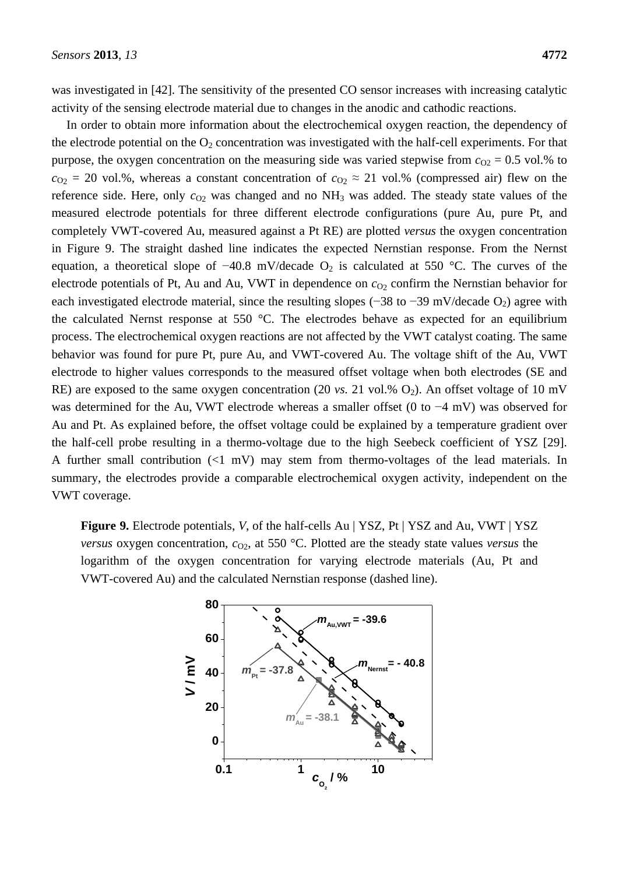was investigated in [42]. The sensitivity of the presented CO sensor increases with increasing catalytic activity of the sensing electrode material due to changes in the anodic and cathodic reactions.

In order to obtain more information about the electrochemical oxygen reaction, the dependency of the electrode potential on the  $O_2$  concentration was investigated with the half-cell experiments. For that purpose, the oxygen concentration on the measuring side was varied stepwise from  $c_{O2} = 0.5$  vol.% to  $c_{O2}$  = 20 vol.%, whereas a constant concentration of  $c_{O2} \approx 21$  vol.% (compressed air) flew on the reference side. Here, only  $c_{O2}$  was changed and no  $NH<sub>3</sub>$  was added. The steady state values of the measured electrode potentials for three different electrode configurations (pure Au, pure Pt, and completely VWT-covered Au, measured against a Pt RE) are plotted *versus* the oxygen concentration in Figure 9. The straight dashed line indicates the expected Nernstian response. From the Nernst equation, a theoretical slope of  $-40.8$  mV/decade O<sub>2</sub> is calculated at 550 °C. The curves of the electrode potentials of Pt, Au and Au, VWT in dependence on  $c<sub>02</sub>$  confirm the Nernstian behavior for each investigated electrode material, since the resulting slopes (−38 to −39 mV/decade  $O_2$ ) agree with the calculated Nernst response at 550  $\degree$ C. The electrodes behave as expected for an equilibrium process. The electrochemical oxygen reactions are not affected by the VWT catalyst coating. The same behavior was found for pure Pt, pure Au, and VWT-covered Au. The voltage shift of the Au, VWT electrode to higher values corresponds to the measured offset voltage when both electrodes (SE and RE) are exposed to the same oxygen concentration (20 *vs.* 21 vol.%  $O_2$ ). An offset voltage of 10 mV was determined for the Au, VWT electrode whereas a smaller offset (0 to −4 mV) was observed for Au and Pt. As explained before, the offset voltage could be explained by a temperature gradient over the half-cell probe resulting in a thermo-voltage due to the high Seebeck coefficient of YSZ [29]. A further small contribution (<1 mV) may stem from thermo-voltages of the lead materials. In summary, the electrodes provide a comparable electrochemical oxygen activity, independent on the VWT coverage.

**Figure 9.** Electrode potentials, *V*, of the half-cells Au | YSZ, Pt | YSZ and Au, VWT | YSZ *versus* oxygen concentration,  $c_{O2}$ , at 550 °C. Plotted are the steady state values *versus* the logarithm of the oxygen concentration for varying electrode materials (Au, Pt and VWT-covered Au) and the calculated Nernstian response (dashed line).

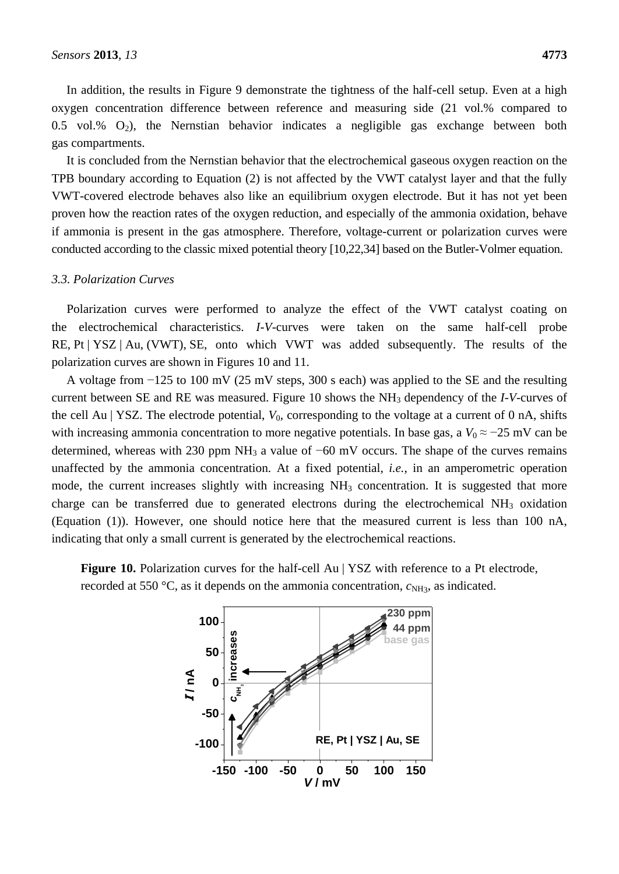In addition, the results in Figure 9 demonstrate the tightness of the half-cell setup. Even at a high oxygen concentration difference between reference and measuring side (21 vol.% compared to 0.5 vol.%  $O_2$ ), the Nernstian behavior indicates a negligible gas exchange between both gas compartments.

It is concluded from the Nernstian behavior that the electrochemical gaseous oxygen reaction on the TPB boundary according to Equation (2) is not affected by the VWT catalyst layer and that the fully VWT-covered electrode behaves also like an equilibrium oxygen electrode. But it has not yet been proven how the reaction rates of the oxygen reduction, and especially of the ammonia oxidation, behave if ammonia is present in the gas atmosphere. Therefore, voltage-current or polarization curves were conducted according to the classic mixed potential theory [10,22,34] based on the Butler-Volmer equation.

#### *3.3. Polarization Curves*

Polarization curves were performed to analyze the effect of the VWT catalyst coating on the electrochemical characteristics. *I*-*V*-curves were taken on the same half-cell probe RE, Pt | YSZ | Au, (VWT), SE, onto which VWT was added subsequently. The results of the polarization curves are shown in Figures 10 and 11.

A voltage from −125 to 100 mV (25 mV steps, 300 s each) was applied to the SE and the resulting current between SE and RE was measured. Figure 10 shows the NH<sup>3</sup> dependency of the *I*-*V*-curves of the cell Au | YSZ. The electrode potential,  $V_0$ , corresponding to the voltage at a current of 0 nA, shifts with increasing ammonia concentration to more negative potentials. In base gas, a  $V_0 \approx -25$  mV can be determined, whereas with 230 ppm NH<sup>3</sup> a value of −60 mV occurs. The shape of the curves remains unaffected by the ammonia concentration. At a fixed potential, *i.e.*, in an amperometric operation mode, the current increases slightly with increasing  $NH<sub>3</sub>$  concentration. It is suggested that more charge can be transferred due to generated electrons during the electrochemical  $NH<sub>3</sub>$  oxidation (Equation (1)). However, one should notice here that the measured current is less than 100 nA, indicating that only a small current is generated by the electrochemical reactions.



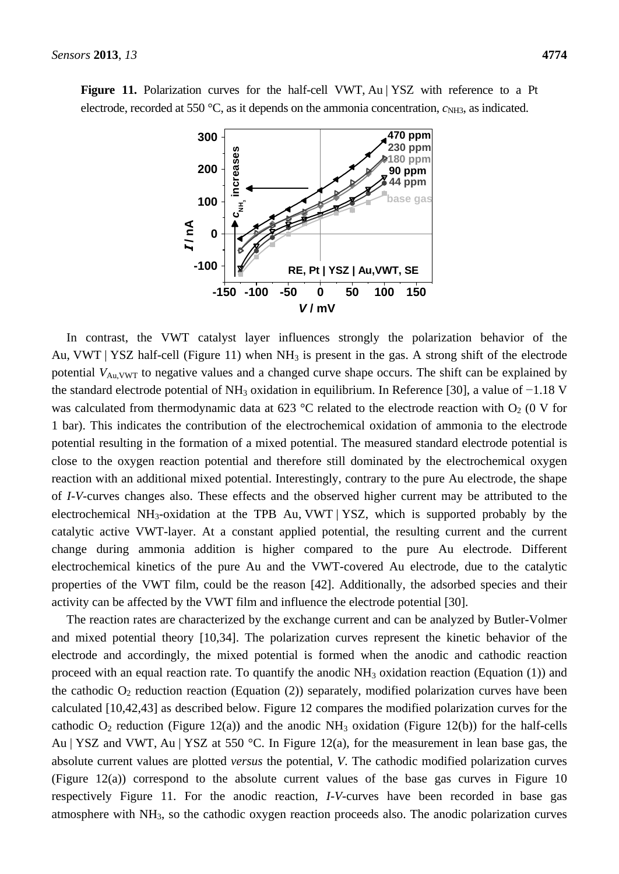

Figure 11. Polarization curves for the half-cell VWT, Au | YSZ with reference to a Pt electrode, recorded at 550 °C, as it depends on the ammonia concentration,  $c_{NH3}$ , as indicated.

In contrast, the VWT catalyst layer influences strongly the polarization behavior of the Au, VWT | YSZ half-cell (Figure 11) when  $NH<sub>3</sub>$  is present in the gas. A strong shift of the electrode potential  $V_{Au,VWT}$  to negative values and a changed curve shape occurs. The shift can be explained by the standard electrode potential of NH<sup>3</sup> oxidation in equilibrium. In Reference [30], a value of −1.18 V was calculated from thermodynamic data at 623 °C related to the electrode reaction with  $O_2$  (0 V for 1 bar). This indicates the contribution of the electrochemical oxidation of ammonia to the electrode potential resulting in the formation of a mixed potential. The measured standard electrode potential is close to the oxygen reaction potential and therefore still dominated by the electrochemical oxygen reaction with an additional mixed potential. Interestingly, contrary to the pure Au electrode, the shape of *I*-*V*-curves changes also. These effects and the observed higher current may be attributed to the electrochemical NH<sub>3</sub>-oxidation at the TPB Au, VWT | YSZ, which is supported probably by the catalytic active VWT-layer. At a constant applied potential, the resulting current and the current change during ammonia addition is higher compared to the pure Au electrode. Different electrochemical kinetics of the pure Au and the VWT-covered Au electrode, due to the catalytic properties of the VWT film, could be the reason [42]. Additionally, the adsorbed species and their activity can be affected by the VWT film and influence the electrode potential [30].

The reaction rates are characterized by the exchange current and can be analyzed by Butler-Volmer and mixed potential theory [10,34]. The polarization curves represent the kinetic behavior of the electrode and accordingly, the mixed potential is formed when the anodic and cathodic reaction proceed with an equal reaction rate. To quantify the anodic  $NH<sub>3</sub>$  oxidation reaction (Equation (1)) and the cathodic  $O_2$  reduction reaction (Equation (2)) separately, modified polarization curves have been calculated [10,42,43] as described below. Figure 12 compares the modified polarization curves for the cathodic  $O_2$  reduction (Figure 12(a)) and the anodic NH<sub>3</sub> oxidation (Figure 12(b)) for the half-cells Au | YSZ and VWT, Au | YSZ at 550 °C. In Figure 12(a), for the measurement in lean base gas, the absolute current values are plotted *versus* the potential, *V*. The cathodic modified polarization curves (Figure 12(a)) correspond to the absolute current values of the base gas curves in Figure 10 respectively Figure 11. For the anodic reaction, *I*-*V*-curves have been recorded in base gas atmosphere with NH3, so the cathodic oxygen reaction proceeds also. The anodic polarization curves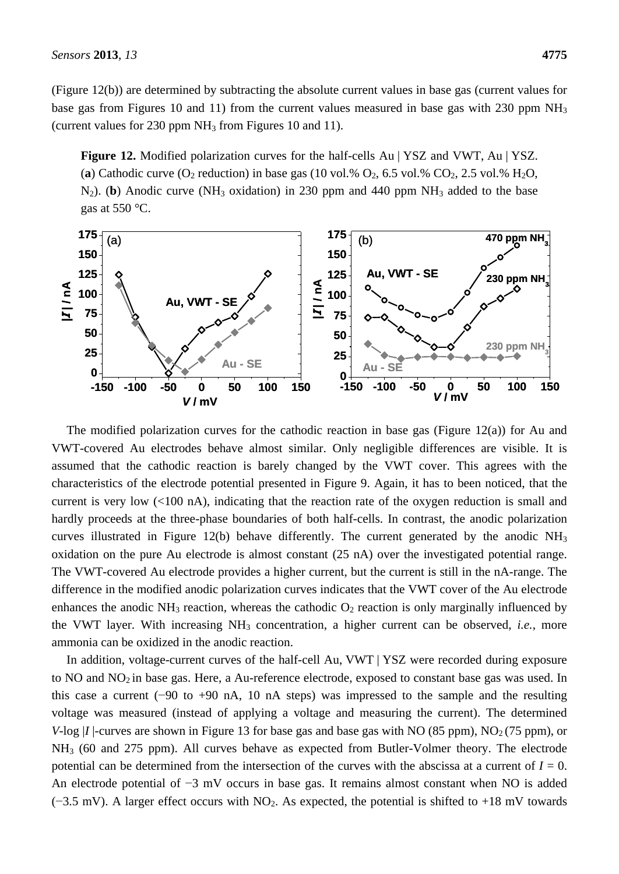(Figure 12(b)) are determined by subtracting the absolute current values in base gas (current values for base gas from Figures 10 and 11) from the current values measured in base gas with 230 ppm  $NH_3$ (current values for  $230$  ppm NH<sub>3</sub> from Figures 10 and 11).

**Figure 12.** Modified polarization curves for the half-cells Au | YSZ and VWT, Au | YSZ. (a) Cathodic curve  $(O_2 \text{ reduction})$  in base gas (10 vol.%  $O_2$ , 6.5 vol.%  $CO_2$ , 2.5 vol.%  $H_2O$ , N<sub>2</sub>). (**b**) Anodic curve (NH<sub>3</sub> oxidation) in 230 ppm and 440 ppm NH<sub>3</sub> added to the base gas at 550  $\mathcal{C}$ .



The modified polarization curves for the cathodic reaction in base gas (Figure 12(a)) for Au and VWT-covered Au electrodes behave almost similar. Only negligible differences are visible. It is assumed that the cathodic reaction is barely changed by the VWT cover. This agrees with the characteristics of the electrode potential presented in Figure 9. Again, it has to been noticed, that the current is very low (<100 nA), indicating that the reaction rate of the oxygen reduction is small and hardly proceeds at the three-phase boundaries of both half-cells. In contrast, the anodic polarization curves illustrated in Figure 12(b) behave differently. The current generated by the anodic  $NH<sub>3</sub>$ oxidation on the pure Au electrode is almost constant (25 nA) over the investigated potential range. The VWT-covered Au electrode provides a higher current, but the current is still in the nA-range. The difference in the modified anodic polarization curves indicates that the VWT cover of the Au electrode enhances the anodic NH<sub>3</sub> reaction, whereas the cathodic  $O_2$  reaction is only marginally influenced by the VWT layer. With increasing NH<sub>3</sub> concentration, a higher current can be observed, *i.e.*, more ammonia can be oxidized in the anodic reaction. (a)<br>  $\frac{1}{150}$  (a)<br>  $\frac{1}{150}$  Au, WWT-SE<br>  $\frac{25}{150}$  Au, WWT-SE<br>  $\frac{25}{150}$  Au, WWT-SE<br>  $\frac{25}{150}$  Au, WWT-SE<br>  $\frac{25}{150}$  Au, WWT-SE<br>  $\frac{25}{150}$  Au, WWT-SE<br>  $\frac{25}{150}$  Au, SWT-SE<br>  $\frac{25}{150}$  Au, ST AU an

In addition, voltage-current curves of the half-cell Au, VWT | YSZ were recorded during exposure to NO and NO<sub>2</sub> in base gas. Here, a Au-reference electrode, exposed to constant base gas was used. In this case a current (−90 to +90 nA, 10 nA steps) was impressed to the sample and the resulting voltage was measured (instead of applying a voltage and measuring the current). The determined *V*-log |*I* | curves are shown in Figure 13 for base gas and base gas with NO (85 ppm), NO<sub>2</sub> (75 ppm), or NH<sup>3</sup> (60 and 275 ppm). All curves behave as expected from Butler-Volmer theory. The electrode potential can be determined from the intersection of the curves with the abscissa at a current of  $I = 0$ . An electrode potential of −3 mV occurs in base gas. It remains almost constant when NO is added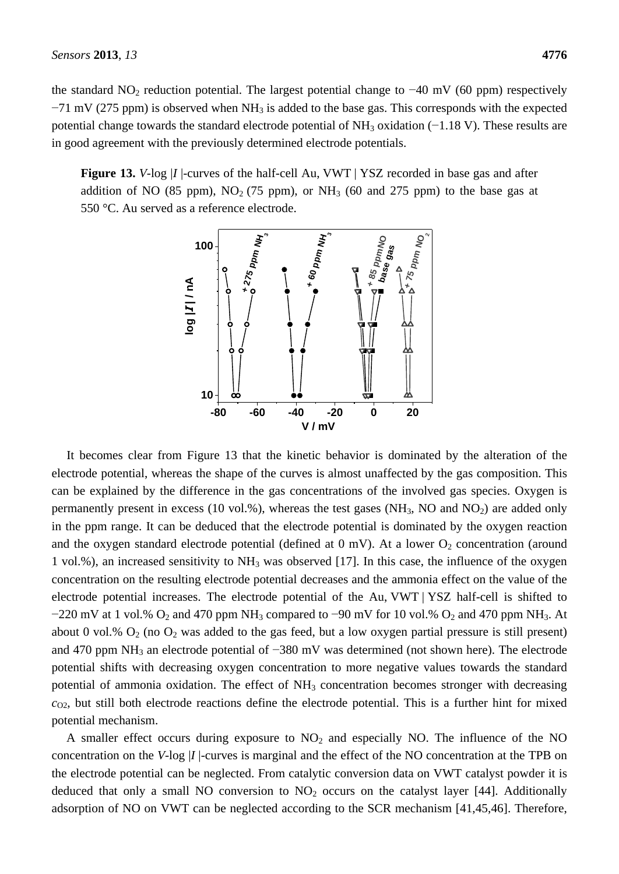the standard NO<sub>2</sub> reduction potential. The largest potential change to  $-40$  mV (60 ppm) respectively  $-71$  mV (275 ppm) is observed when NH<sub>3</sub> is added to the base gas. This corresponds with the expected potential change towards the standard electrode potential of NH<sub>3</sub> oxidation (−1.18 V). These results are in good agreement with the previously determined electrode potentials.

**Figure 13.** *V*-log |*I* |-curves of the half-cell Au, VWT | YSZ recorded in base gas and after addition of NO (85 ppm),  $NO<sub>2</sub>$  (75 ppm), or  $NH<sub>3</sub>$  (60 and 275 ppm) to the base gas at 550 °C. Au served as a reference electrode.



It becomes clear from Figure 13 that the kinetic behavior is dominated by the alteration of the electrode potential, whereas the shape of the curves is almost unaffected by the gas composition. This can be explained by the difference in the gas concentrations of the involved gas species. Oxygen is permanently present in excess (10 vol.%), whereas the test gases ( $NH<sub>3</sub>$ , NO and  $NO<sub>2</sub>$ ) are added only in the ppm range. It can be deduced that the electrode potential is dominated by the oxygen reaction and the oxygen standard electrode potential (defined at  $0$  mV). At a lower  $O_2$  concentration (around 1 vol.%), an increased sensitivity to NH<sup>3</sup> was observed [17]. In this case, the influence of the oxygen concentration on the resulting electrode potential decreases and the ammonia effect on the value of the electrode potential increases. The electrode potential of the Au, VWT | YSZ half-cell is shifted to  $-220$  mV at 1 vol.% O<sub>2</sub> and 470 ppm NH<sub>3</sub> compared to  $-90$  mV for 10 vol.% O<sub>2</sub> and 470 ppm NH<sub>3</sub>. At about 0 vol.%  $O_2$  (no  $O_2$  was added to the gas feed, but a low oxygen partial pressure is still present) and 470 ppm NH<sub>3</sub> an electrode potential of −380 mV was determined (not shown here). The electrode potential shifts with decreasing oxygen concentration to more negative values towards the standard potential of ammonia oxidation. The effect of  $NH<sub>3</sub>$  concentration becomes stronger with decreasing  $c_{\Omega2}$ , but still both electrode reactions define the electrode potential. This is a further hint for mixed potential mechanism.

A smaller effect occurs during exposure to  $NO<sub>2</sub>$  and especially NO. The influence of the NO concentration on the *V*-log |*I* |-curves is marginal and the effect of the NO concentration at the TPB on the electrode potential can be neglected. From catalytic conversion data on VWT catalyst powder it is deduced that only a small NO conversion to  $NO<sub>2</sub>$  occurs on the catalyst layer [44]. Additionally adsorption of NO on VWT can be neglected according to the SCR mechanism [41,45,46]. Therefore,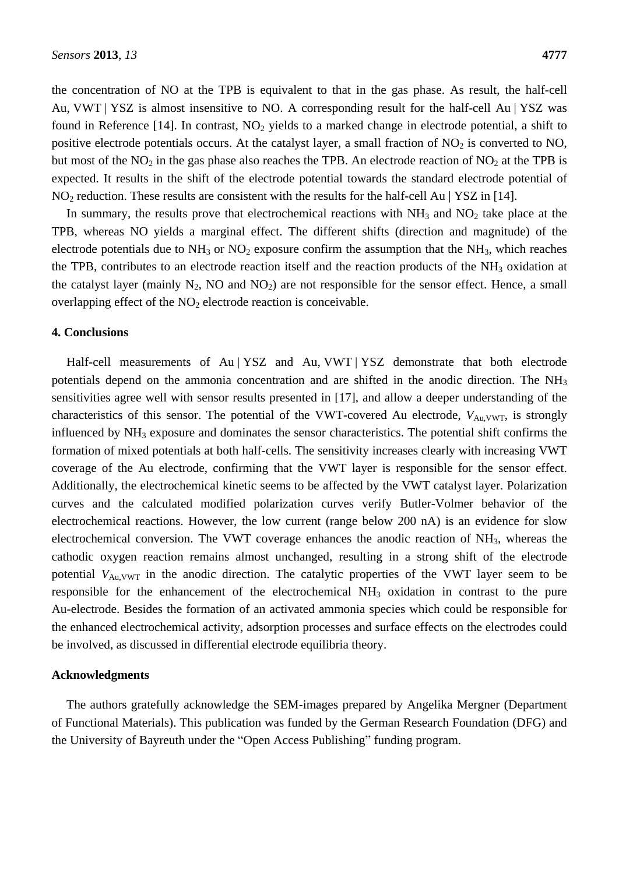the concentration of NO at the TPB is equivalent to that in the gas phase. As result, the half-cell Au, VWT | YSZ is almost insensitive to NO. A corresponding result for the half-cell Au | YSZ was found in Reference  $[14]$ . In contrast, NO<sub>2</sub> yields to a marked change in electrode potential, a shift to positive electrode potentials occurs. At the catalyst layer, a small fraction of  $NO<sub>2</sub>$  is converted to  $NO$ , but most of the  $NO<sub>2</sub>$  in the gas phase also reaches the TPB. An electrode reaction of  $NO<sub>2</sub>$  at the TPB is expected. It results in the shift of the electrode potential towards the standard electrode potential of  $NO<sub>2</sub>$  reduction. These results are consistent with the results for the half-cell Au | YSZ in [14].

In summary, the results prove that electrochemical reactions with  $NH<sub>3</sub>$  and  $NO<sub>2</sub>$  take place at the TPB, whereas NO yields a marginal effect. The different shifts (direction and magnitude) of the electrode potentials due to  $NH_3$  or  $NO_2$  exposure confirm the assumption that the  $NH_3$ , which reaches the TPB, contributes to an electrode reaction itself and the reaction products of the  $NH<sub>3</sub>$  oxidation at the catalyst layer (mainly  $N_2$ , NO and  $NO_2$ ) are not responsible for the sensor effect. Hence, a small overlapping effect of the  $NO<sub>2</sub>$  electrode reaction is conceivable.

#### **4. Conclusions**

Half-cell measurements of Au | YSZ and Au, VWT | YSZ demonstrate that both electrode potentials depend on the ammonia concentration and are shifted in the anodic direction. The NH<sub>3</sub> sensitivities agree well with sensor results presented in [17], and allow a deeper understanding of the characteristics of this sensor. The potential of the VWT-covered Au electrode,  $V_{\text{Au,VWT}}$ , is strongly influenced by  $NH<sub>3</sub>$  exposure and dominates the sensor characteristics. The potential shift confirms the formation of mixed potentials at both half-cells. The sensitivity increases clearly with increasing VWT coverage of the Au electrode, confirming that the VWT layer is responsible for the sensor effect. Additionally, the electrochemical kinetic seems to be affected by the VWT catalyst layer. Polarization curves and the calculated modified polarization curves verify Butler-Volmer behavior of the electrochemical reactions. However, the low current (range below 200 nA) is an evidence for slow electrochemical conversion. The VWT coverage enhances the anodic reaction of NH<sub>3</sub>, whereas the cathodic oxygen reaction remains almost unchanged, resulting in a strong shift of the electrode potential  $V_{Au,VWT}$  in the anodic direction. The catalytic properties of the VWT layer seem to be responsible for the enhancement of the electrochemical NH<sub>3</sub> oxidation in contrast to the pure Au-electrode. Besides the formation of an activated ammonia species which could be responsible for the enhanced electrochemical activity, adsorption processes and surface effects on the electrodes could be involved, as discussed in differential electrode equilibria theory.

#### **Acknowledgments**

The authors gratefully acknowledge the SEM-images prepared by Angelika Mergner (Department of Functional Materials). This publication was funded by the German Research Foundation (DFG) and the University of Bayreuth under the "Open Access Publishing" funding program.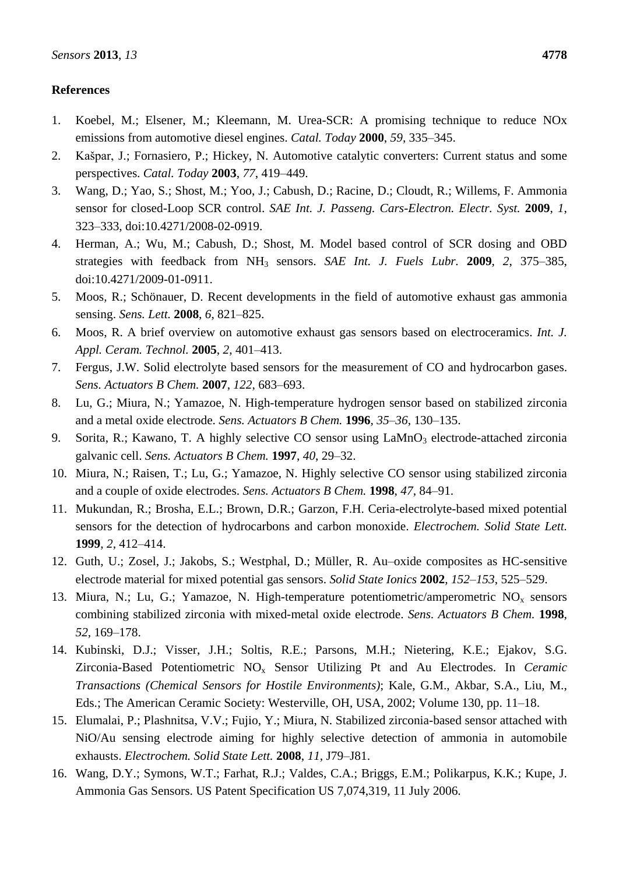## **References**

- 1. Koebel, M.; Elsener, M.; Kleemann, M. Urea-SCR: A promising technique to reduce NOx emissions from automotive diesel engines. *Catal. Today* **2000**, *59*, 335–345.
- 2. Kašpar, J.; Fornasiero, P.; Hickey, N. Automotive catalytic converters: Current status and some perspectives. *Catal. Today* **2003**, *77*, 419–449.
- 3. Wang, D.; Yao, S.; Shost, M.; Yoo, J.; Cabush, D.; Racine, D.; Cloudt, R.; Willems, F. Ammonia sensor for closed-Loop SCR control. *SAE Int. J. Passeng. Cars-Electron. Electr. Syst.* **2009**, *1*, 323–333, doi:10.4271/2008-02-0919.
- 4. Herman, A.; Wu, M.; Cabush, D.; Shost, M. Model based control of SCR dosing and OBD strategies with feedback from NH<sup>3</sup> sensors. *SAE Int. J. Fuels Lubr.* **2009**, *2*, 375–385, doi:10.4271/2009-01-0911.
- 5. Moos, R.; Schönauer, D. Recent developments in the field of automotive exhaust gas ammonia sensing. *Sens. Lett.* **2008**, *6*, 821–825.
- 6. Moos, R. A brief overview on automotive exhaust gas sensors based on electroceramics. *Int. J. Appl. Ceram. Technol.* **2005**, *2*, 401–413.
- 7. Fergus, J.W. Solid electrolyte based sensors for the measurement of CO and hydrocarbon gases. *Sens. Actuators B Chem.* **2007**, *122*, 683–693.
- 8. Lu, G.; Miura, N.; Yamazoe, N. High-temperature hydrogen sensor based on stabilized zirconia and a metal oxide electrode. *Sens. Actuators B Chem.* **1996**, *35–36*, 130–135.
- 9. Sorita, R.; Kawano, T. A highly selective CO sensor using LaMnO<sub>3</sub> electrode-attached zirconia galvanic cell. *Sens. Actuators B Chem.* **1997**, *40*, 29–32.
- 10. Miura, N.; Raisen, T.; Lu, G.; Yamazoe, N. Highly selective CO sensor using stabilized zirconia and a couple of oxide electrodes. *Sens. Actuators B Chem.* **1998**, *47*, 84–91.
- 11. Mukundan, R.; Brosha, E.L.; Brown, D.R.; Garzon, F.H. Ceria-electrolyte-based mixed potential sensors for the detection of hydrocarbons and carbon monoxide. *Electrochem. Solid State Lett.* **1999**, *2*, 412–414.
- 12. Guth, U.; Zosel, J.; Jakobs, S.; Westphal, D.; Müller, R. Au–oxide composites as HC-sensitive electrode material for mixed potential gas sensors. *Solid State Ionics* **2002**, *152–153*, 525–529.
- 13. Miura, N.; Lu, G.; Yamazoe, N. High-temperature potentiometric/amperometric NO<sup>x</sup> sensors combining stabilized zirconia with mixed-metal oxide electrode. *Sens. Actuators B Chem.* **1998**, *52*, 169–178.
- 14. Kubinski, D.J.; Visser, J.H.; Soltis, R.E.; Parsons, M.H.; Nietering, K.E.; Ejakov, S.G. Zirconia-Based Potentiometric NO<sup>x</sup> Sensor Utilizing Pt and Au Electrodes. In *Ceramic Transactions (Chemical Sensors for Hostile Environments)*; Kale, G.M., Akbar, S.A., Liu, M., Eds.; The American Ceramic Society: Westerville, OH, USA, 2002; Volume 130, pp. 11–18.
- 15. Elumalai, P.; Plashnitsa, V.V.; Fujio, Y.; Miura, N. Stabilized zirconia-based sensor attached with NiO/Au sensing electrode aiming for highly selective detection of ammonia in automobile exhausts. *Electrochem. Solid State Lett.* **2008**, *11*, J79–J81.
- 16. Wang, D.Y.; Symons, W.T.; Farhat, R.J.; Valdes, C.A.; Briggs, E.M.; Polikarpus, K.K.; Kupe, J. Ammonia Gas Sensors. US Patent Specification US 7,074,319, 11 July 2006.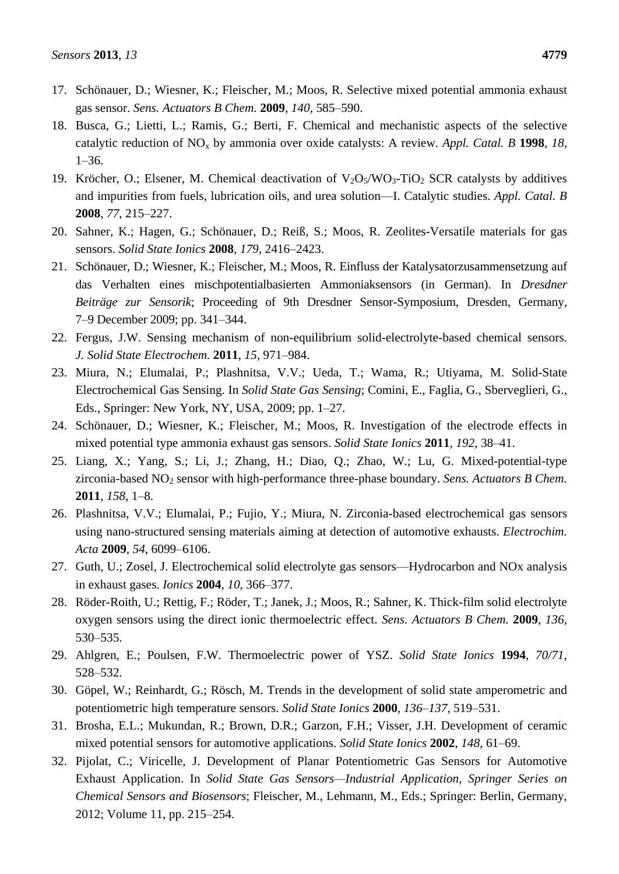- 17. Schönauer, D.; Wiesner, K.; Fleischer, M.; Moos, R. Selective mixed potential ammonia exhaust gas sensor. *Sens. Actuators B Chem.* **2009**, *140*, 585–590.
- 18. Busca, G.; Lietti, L.; Ramis, G.; Berti, F. Chemical and mechanistic aspects of the selective catalytic reduction of NO<sup>x</sup> by ammonia over oxide catalysts: A review. *Appl. Catal. B* **1998**, *18*, 1–36.
- 19. Kröcher, O.; Elsener, M. Chemical deactivation of  $V_2O_5/WO_3$ -TiO<sub>2</sub> SCR catalysts by additives and impurities from fuels, lubrication oils, and urea solution—I. Catalytic studies. *Appl. Catal. B* **2008**, *77*, 215–227.
- 20. Sahner, K.; Hagen, G.; Schönauer, D.; Reiß, S.; Moos, R. Zeolites-Versatile materials for gas sensors. *Solid State Ionics* **2008**, *179*, 2416–2423.
- 21. Schönauer, D.; Wiesner, K.; Fleischer, M.; Moos, R. Einfluss der Katalysatorzusammensetzung auf das Verhalten eines mischpotentialbasierten Ammoniaksensors (in German). In *Dresdner Beiträge zur Sensorik*; Proceeding of 9th Dresdner Sensor-Symposium, Dresden, Germany, 7–9 December 2009; pp. 341–344.
- 22. Fergus, J.W. Sensing mechanism of non-equilibrium solid-electrolyte-based chemical sensors. *J. Solid State Electrochem.* **2011**, *15*, 971–984.
- 23. Miura, N.; Elumalai, P.; Plashnitsa, V.V.; Ueda, T.; Wama, R.; Utiyama, M. Solid-State Electrochemical Gas Sensing. In *Solid State Gas Sensing*; Comini, E., Faglia, G., Sberveglieri, G., Eds., Springer: New York, NY, USA, 2009; pp. 1–27.
- 24. Schönauer, D.; Wiesner, K.; Fleischer, M.; Moos, R. Investigation of the electrode effects in mixed potential type ammonia exhaust gas sensors. *Solid State Ionics* **2011**, *192*, 38–41.
- 25. Liang, X.; Yang, S.; Li, J.; Zhang, H.; Diao, Q.; Zhao, W.; Lu, G. Mixed-potential-type zirconia-based NO<sub>2</sub> sensor with high-performance three-phase boundary. *Sens. Actuators B Chem.* **2011**, *158*, 1–8.
- 26. Plashnitsa, V.V.; Elumalai, P.; Fujio, Y.; Miura, N. Zirconia-based electrochemical gas sensors using nano-structured sensing materials aiming at detection of automotive exhausts. *Electrochim. Acta* **2009**, *54*, 6099–6106.
- 27. Guth, U.; Zosel, J. Electrochemical solid electrolyte gas sensors—Hydrocarbon and NOx analysis in exhaust gases. *Ionics* **2004**, *10*, 366–377.
- 28. Röder-Roith, U.; Rettig, F.; Röder, T.; Janek, J.; Moos, R.; Sahner, K. Thick-film solid electrolyte oxygen sensors using the direct ionic thermoelectric effect. *Sens. Actuators B Chem.* **2009**, *136*, 530–535.
- 29. Ahlgren, E.; Poulsen, F.W. Thermoelectric power of YSZ. *Solid State Ionics* **1994**, *70/71*, 528–532.
- 30. Göpel, W.; Reinhardt, G.; Rösch, M. Trends in the development of solid state amperometric and potentiometric high temperature sensors. *Solid State Ionics* **2000**, *136–137*, 519–531.
- 31. Brosha, E.L.; Mukundan, R.; Brown, D.R.; Garzon, F.H.; Visser, J.H. Development of ceramic mixed potential sensors for automotive applications. *Solid State Ionics* **2002**, *148*, 61–69.
- 32. Pijolat, C.; Viricelle, J. Development of Planar Potentiometric Gas Sensors for Automotive Exhaust Application. In *Solid State Gas Sensors—Industrial Application, Springer Series on Chemical Sensors and Biosensors*; Fleischer, M., Lehmann, M., Eds.; Springer: Berlin, Germany, 2012; Volume 11, pp. 215–254.